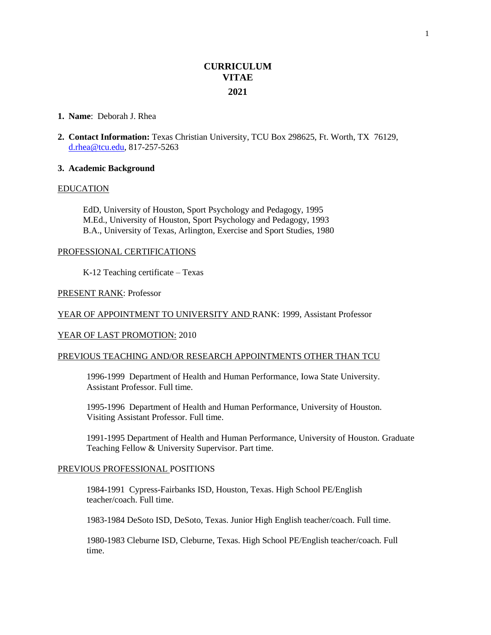# **CURRICULUM VITAE 2021**

#### **1. Name**: Deborah J. Rhea

**2. Contact Information:** Texas Christian University, TCU Box 298625, Ft. Worth, TX 76129, [d.rhea@tcu.edu,](mailto:d.rhea@tcu.edu) 817-257-5263

#### **3. Academic Background**

#### EDUCATION

EdD, University of Houston, Sport Psychology and Pedagogy, 1995 M.Ed., University of Houston, Sport Psychology and Pedagogy, 1993 B.A., University of Texas, Arlington, Exercise and Sport Studies, 1980

# PROFESSIONAL CERTIFICATIONS

K-12 Teaching certificate – Texas

#### PRESENT RANK: Professor

# YEAR OF APPOINTMENT TO UNIVERSITY AND RANK: 1999, Assistant Professor

# YEAR OF LAST PROMOTION: 2010

#### PREVIOUS TEACHING AND/OR RESEARCH APPOINTMENTS OTHER THAN TCU

1996-1999Department of Health and Human Performance, Iowa State University. Assistant Professor. Full time.

1995-1996Department of Health and Human Performance, University of Houston. Visiting Assistant Professor. Full time.

1991-1995 Department of Health and Human Performance, University of Houston. Graduate Teaching Fellow & University Supervisor. Part time.

# PREVIOUS PROFESSIONAL POSITIONS

1984-1991 Cypress-Fairbanks ISD, Houston, Texas. High School PE/English teacher/coach. Full time.

1983-1984 DeSoto ISD, DeSoto, Texas. Junior High English teacher/coach. Full time.

1980-1983 Cleburne ISD, Cleburne, Texas. High School PE/English teacher/coach. Full time.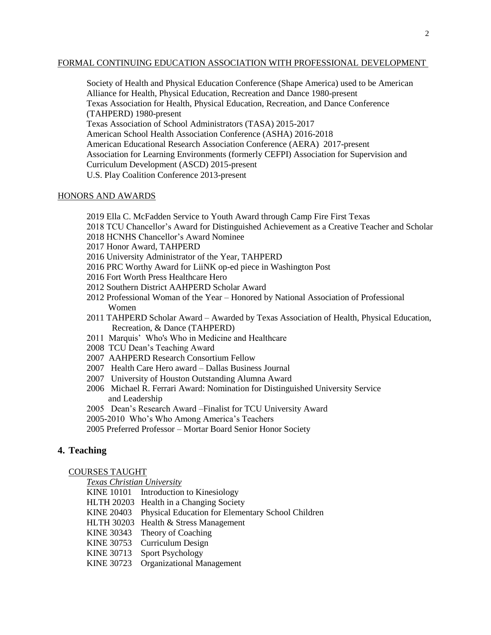# FORMAL CONTINUING EDUCATION ASSOCIATION WITH PROFESSIONAL DEVELOPMENT

Society of Health and Physical Education Conference (Shape America) used to be American Alliance for Health, Physical Education, Recreation and Dance 1980-present Texas Association for Health, Physical Education, Recreation, and Dance Conference (TAHPERD) 1980-present Texas Association of School Administrators (TASA) 2015-2017 American School Health Association Conference (ASHA) 2016-2018 American Educational Research Association Conference (AERA) 2017-present Association for Learning Environments (formerly CEFPI) Association for Supervision and Curriculum Development (ASCD) 2015-present U.S. Play Coalition Conference 2013-present

# HONORS AND AWARDS

2019 Ella C. McFadden Service to Youth Award through Camp Fire First Texas

- 2018 TCU Chancellor's Award for Distinguished Achievement as a Creative Teacher and Scholar
- 2018 HCNHS Chancellor's Award Nominee
- 2017 Honor Award, TAHPERD
- 2016 University Administrator of the Year, TAHPERD
- 2016 PRC Worthy Award for LiiNK op-ed piece in Washington Post
- 2016 Fort Worth Press Healthcare Hero
- 2012 Southern District AAHPERD Scholar Award
- 2012 Professional Woman of the Year Honored by National Association of Professional Women
- 2011 TAHPERD Scholar Award Awarded by Texas Association of Health, Physical Education, Recreation, & Dance (TAHPERD)
- 2011 Marquis' Who's Who in Medicine and Healthcare
- 2008 TCU Dean's Teaching Award
- 2007 AAHPERD Research Consortium Fellow
- 2007 Health Care Hero award Dallas Business Journal
- 2007 University of Houston Outstanding Alumna Award
- 2006 Michael R. Ferrari Award: Nomination for Distinguished University Service and Leadership
- 2005 Dean's Research Award –Finalist for TCU University Award
- 2005-2010 Who's Who Among America's Teachers
- 2005 Preferred Professor Mortar Board Senior Honor Society

# **4. Teaching**

# COURSES TAUGHT

*Texas Christian University*

- KINE 10101 Introduction to Kinesiology
- HLTH 20203 Health in a Changing Society
- KINE 20403 Physical Education for Elementary School Children
- HLTH 30203 Health & Stress Management
- KINE 30343 Theory of Coaching
- KINE 30753 Curriculum Design
- KINE 30713 Sport Psychology
- KINE 30723 Organizational Management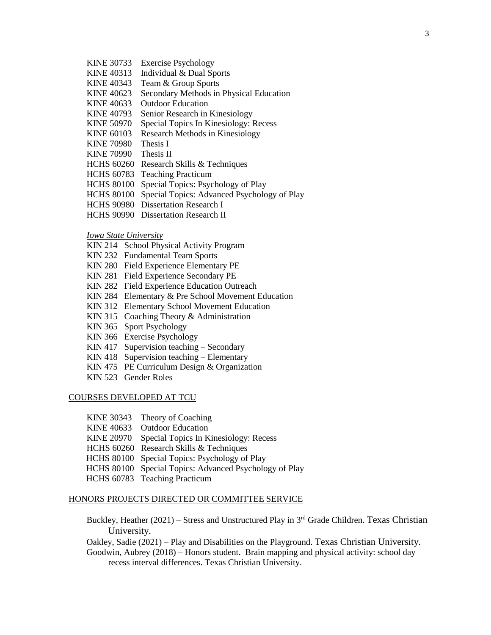- KINE 30733 Exercise Psychology
- KINE 40313 Individual & Dual Sports
- KINE 40343 Team & Group Sports
- KINE 40623 Secondary Methods in Physical Education
- KINE 40633 Outdoor Education
- KINE 40793 Senior Research in Kinesiology
- KINE 50970 Special Topics In Kinesiology: Recess
- KINE 60103 Research Methods in Kinesiology
- KINE 70980 Thesis I
- KINE 70990 Thesis II
- HCHS 60260 Research Skills & Techniques
- HCHS 60783 Teaching Practicum
- HCHS 80100 Special Topics: Psychology of Play
- HCHS 80100 Special Topics: Advanced Psychology of Play
- HCHS 90980 Dissertation Research I
- HCHS 90990 Dissertation Research II

# *Iowa State University*

- KIN 214 School Physical Activity Program
- KIN 232 Fundamental Team Sports
- KIN 280 Field Experience Elementary PE
- KIN 281 Field Experience Secondary PE
- KIN 282 Field Experience Education Outreach
- KIN 284 Elementary & Pre School Movement Education
- KIN 312 Elementary School Movement Education
- KIN 315 Coaching Theory & Administration
- KIN 365 Sport Psychology
- KIN 366 Exercise Psychology
- KIN 417 Supervision teaching Secondary
- KIN 418 Supervision teaching Elementary
- KIN 475 PE Curriculum Design & Organization
- KIN 523 Gender Roles

#### COURSES DEVELOPED AT TCU

- KINE 30343 Theory of Coaching
- KINE 40633 Outdoor Education
- KINE 20970 Special Topics In Kinesiology: Recess
- HCHS 60260 Research Skills & Techniques
- HCHS 80100 Special Topics: Psychology of Play
- HCHS 80100 Special Topics: Advanced Psychology of Play
- HCHS 60783 Teaching Practicum

# HONORS PROJECTS DIRECTED OR COMMITTEE SERVICE

- Buckley, Heather (2021) Stress and Unstructured Play in 3<sup>rd</sup> Grade Children. Texas Christian University.
- Oakley, Sadie (2021) Play and Disabilities on the Playground. Texas Christian University.
- Goodwin, Aubrey (2018) Honors student. Brain mapping and physical activity: school day recess interval differences. Texas Christian University.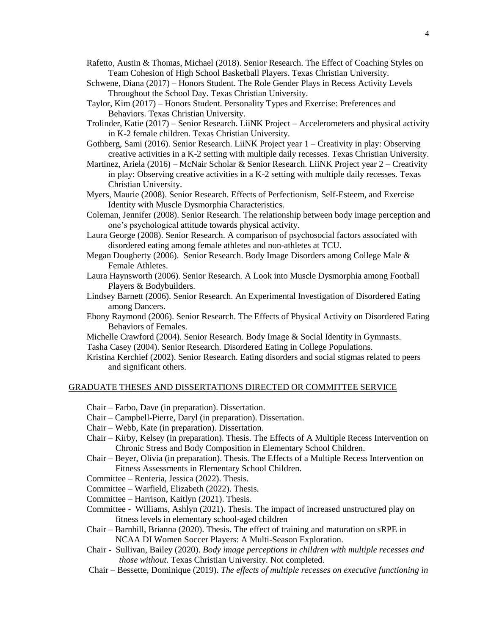Rafetto, Austin & Thomas, Michael (2018). Senior Research. The Effect of Coaching Styles on Team Cohesion of High School Basketball Players. Texas Christian University.

- Schwene, Diana (2017) Honors Student. The Role Gender Plays in Recess Activity Levels Throughout the School Day. Texas Christian University.
- Taylor, Kim (2017) Honors Student. Personality Types and Exercise: Preferences and Behaviors. Texas Christian University.
- Trolinder, Katie (2017) Senior Research. LiiNK Project Accelerometers and physical activity in K-2 female children. Texas Christian University.
- Gothberg, Sami (2016). Senior Research. LiiNK Project year 1 Creativity in play: Observing creative activities in a K-2 setting with multiple daily recesses. Texas Christian University.
- Martinez, Ariela (2016) McNair Scholar & Senior Research. LiiNK Project year 2 Creativity in play: Observing creative activities in a K-2 setting with multiple daily recesses. Texas Christian University.
- Myers, Maurie (2008). Senior Research. Effects of Perfectionism, Self-Esteem, and Exercise Identity with Muscle Dysmorphia Characteristics.
- Coleman, Jennifer (2008). Senior Research. The relationship between body image perception and one's psychological attitude towards physical activity.
- Laura George (2008). Senior Research. A comparison of psychosocial factors associated with disordered eating among female athletes and non-athletes at TCU.
- Megan Dougherty (2006). Senior Research. Body Image Disorders among College Male & Female Athletes.
- Laura Haynsworth (2006). Senior Research. A Look into Muscle Dysmorphia among Football Players & Bodybuilders.
- Lindsey Barnett (2006). Senior Research. An Experimental Investigation of Disordered Eating among Dancers.
- Ebony Raymond (2006). Senior Research. The Effects of Physical Activity on Disordered Eating Behaviors of Females.
- Michelle Crawford (2004). Senior Research. Body Image & Social Identity in Gymnasts.

Tasha Casey (2004). Senior Research. Disordered Eating in College Populations.

Kristina Kerchief (2002). Senior Research. Eating disorders and social stigmas related to peers and significant others.

# GRADUATE THESES AND DISSERTATIONS DIRECTED OR COMMITTEE SERVICE

- Chair Farbo, Dave (in preparation). Dissertation.
- Chair Campbell-Pierre, Daryl (in preparation). Dissertation.
- Chair Webb, Kate (in preparation). Dissertation.
- Chair Kirby, Kelsey (in preparation). Thesis. The Effects of A Multiple Recess Intervention on Chronic Stress and Body Composition in Elementary School Children.
- Chair Beyer, Olivia (in preparation). Thesis. The Effects of a Multiple Recess Intervention on Fitness Assessments in Elementary School Children.
- Committee Renteria, Jessica (2022). Thesis.
- Committee Warfield, Elizabeth (2022). Thesis.
- Committee Harrison, Kaitlyn (2021). Thesis.
- Committee Williams, Ashlyn (2021). Thesis. The impact of increased unstructured play on fitness levels in elementary school-aged children
- Chair Barnhill, Brianna (2020). Thesis. The effect of training and maturation on sRPE in NCAA DI Women Soccer Players: A Multi-Season Exploration.
- Chair Sullivan, Bailey (2020). *Body image perceptions in children with multiple recesses and those without.* Texas Christian University. Not completed.
- Chair Bessette, Dominique (2019). *The effects of multiple recesses on executive functioning in*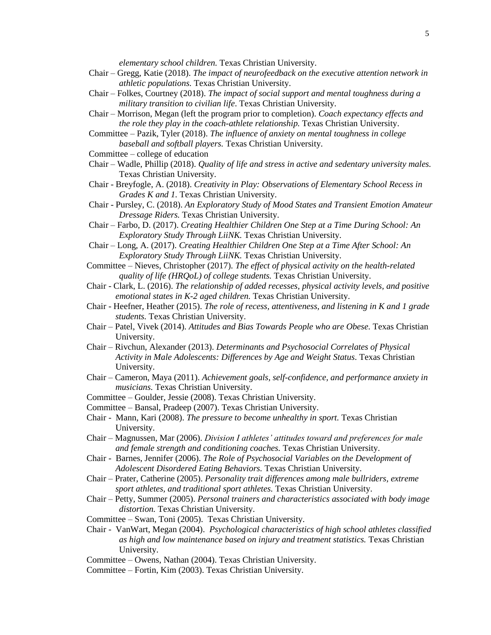*elementary school children.* Texas Christian University.

- Chair Gregg, Katie (2018). *The impact of neurofeedback on the executive attention network in athletic populations.* Texas Christian University.
- Chair Folkes, Courtney (2018). *The impact of social support and mental toughness during a military transition to civilian life*. Texas Christian University.
- Chair Morrison, Megan (left the program prior to completion). *Coach expectancy effects and the role they play in the coach-athlete relationship.* Texas Christian University.
- Committee Pazik, Tyler (2018). *The influence of anxiety on mental toughness in college baseball and softball players.* Texas Christian University.
- Committee college of education
- Chair Wadle, Phillip (2018). *Quality of life and stress in active and sedentary university males.* Texas Christian University.
- Chair Breyfogle, A. (2018). *Creativity in Play: Observations of Elementary School Recess in Grades K and 1.* Texas Christian University.
- Chair Pursley, C. (2018). *An Exploratory Study of Mood States and Transient Emotion Amateur Dressage Riders.* Texas Christian University.
- Chair Farbo, D. (2017). *Creating Healthier Children One Step at a Time During School: An Exploratory Study Through LiiNK.* Texas Christian University.
- Chair Long, A. (2017). *Creating Healthier Children One Step at a Time After School: An Exploratory Study Through LiiNK.* Texas Christian University.
- Committee Nieves, Christopher (2017). *The effect of physical activity on the health-related quality of life (HRQoL) of college students.* Texas Christian University.
- Chair Clark, L. (2016). *The relationship of added recesses, physical activity levels, and positive emotional states in K-2 aged children.* Texas Christian University.
- Chair Heefner, Heather (2015). *The role of recess, attentiveness, and listening in K and 1 grade students.* Texas Christian University.
- Chair Patel, Vivek (2014). *Attitudes and Bias Towards People who are Obese.* Texas Christian University.
- Chair Rivchun, Alexander (2013). *Determinants and Psychosocial Correlates of Physical Activity in Male Adolescents: Differences by Age and Weight Status.* Texas Christian University.
- Chair Cameron, Maya (2011). *Achievement goals, self-confidence, and performance anxiety in musicians.* Texas Christian University.
- Committee Goulder, Jessie (2008). Texas Christian University.
- Committee Bansal, Pradeep (2007). Texas Christian University.
- Chair Mann, Kari (2008). *The pressure to become unhealthy in sport.* Texas Christian University.
- Chair Magnussen, Mar (2006). *Division I athletes' attitudes toward and preferences for male and female strength and conditioning coaches.* Texas Christian University.
- Chair Barnes, Jennifer (2006). *The Role of Psychosocial Variables on the Development of Adolescent Disordered Eating Behaviors.* Texas Christian University.
- Chair Prater, Catherine (2005). *Personality trait differences among male bullriders, extreme sport athletes, and traditional sport athletes.* Texas Christian University.
- Chair Petty, Summer (2005). *Personal trainers and characteristics associated with body image distortion.* Texas Christian University.
- Committee Swan, Toni (2005). Texas Christian University.
- Chair VanWart, Megan (2004). *Psychological characteristics of high school athletes classified as high and low maintenance based on injury and treatment statistics.* Texas Christian University.
- Committee Owens, Nathan (2004). Texas Christian University.
- Committee Fortin, Kim (2003). Texas Christian University.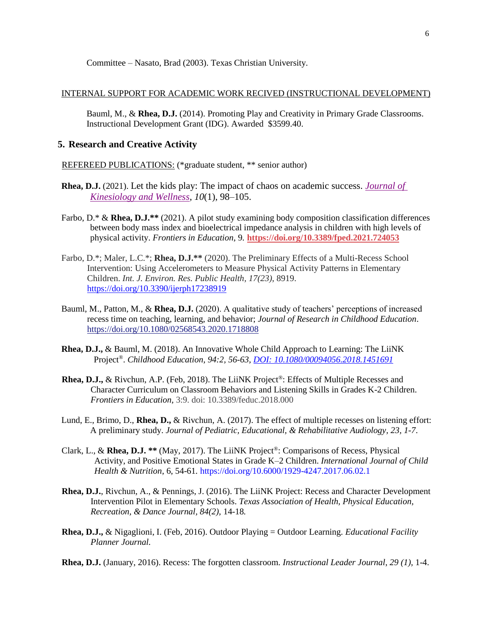Committee – Nasato, Brad (2003). Texas Christian University.

#### INTERNAL SUPPORT FOR ACADEMIC WORK RECIVED (INSTRUCTIONAL DEVELOPMENT)

Bauml, M., & **Rhea, D.J.** (2014). Promoting Play and Creativity in Primary Grade Classrooms. Instructional Development Grant (IDG). Awarded \$3599.40.

# **5. Research and Creative Activity**

REFEREED PUBLICATIONS: (\*graduate student, \*\* senior author)

- **Rhea, D.J.** (2021). Let the kids play: The impact of chaos on academic success. *[Journal of](https://www.wskw.org/wp-content/uploads/2022/02/2021_Volume10_No1.pdf)  [Kinesiology and Wellness](https://www.wskw.org/wp-content/uploads/2022/02/2021_Volume10_No1.pdf)*, *10*(1), 98–105.
- Farbo, D.\* & **Rhea, D.J.\*\*** (2021). A pilot study examining body composition classification differences between body mass index and bioelectrical impedance analysis in children with high levels of physical activity. *Frontiers in Education*, 9*.* **<https://doi.org/10.3389/fped.2021.724053>**
- Farbo, D.\*; Maler, L.C.\*; **Rhea, D.J.\*\*** (2020). The Preliminary Effects of a Multi-Recess School Intervention: Using Accelerometers to Measure Physical Activity Patterns in Elementary Children. *Int. J. Environ. Res. Public Health, 17(23)*, 8919. <https://doi.org/10.3390/ijerph17238919>
- Bauml, M., Patton, M., & **Rhea, D.J.** (2020). A qualitative study of teachers' perceptions of increased recess time on teaching, learning, and behavior; *Journal of Research in Childhood Education*. <https://doi.org/10.1080/02568543.2020.1718808>
- **Rhea, D.J.,** & Bauml, M. (2018). An Innovative Whole Child Approach to Learning: The LiiNK Project®. *Childhood Education, 94:2, 56-63[, DOI: 10.1080/00094056.2018.1451691](https://www.tandfonline.com/doi/full/10.1080/00094056.2018.1451691)*
- **Rhea, D.J.,** & Rivchun, A.P. (Feb, 2018). The LiiNK Project®: Effects of Multiple Recesses and Character Curriculum on Classroom Behaviors and Listening Skills in Grades K-2 Children. *Frontiers in Education,* 3:9. doi: 10.3389/feduc.2018.000
- Lund, E., Brimo, D., **Rhea, D.,** & Rivchun, A. (2017). The effect of multiple recesses on listening effort: A preliminary study. *Journal of Pediatric, Educational, & Rehabilitative Audiology, 23, 1-7*.
- Clark, L., & **Rhea, D.J. \*\*** (May, 2017). The LiiNK Project®: Comparisons of Recess, Physical Activity, and Positive Emotional States in Grade K–2 Children. *International Journal of Child Health & Nutrition*, 6, 54-61*.* https://doi.org/10.6000/1929-4247.2017.06.02.1
- **Rhea, D.J.**, Rivchun, A., & Pennings, J. (2016). The LiiNK Project: Recess and Character Development Intervention Pilot in Elementary Schools. *Texas Association of Health, Physical Education, Recreation, & Dance Journal, 84(2),* 14-18*.*
- **Rhea, D.J.,** & Nigaglioni, I. (Feb, 2016). Outdoor Playing = Outdoor Learning. *Educational Facility Planner Journal.*
- **Rhea, D.J.** (January, 2016). Recess: The forgotten classroom. *Instructional Leader Journal*, *29 (1),* 1-4.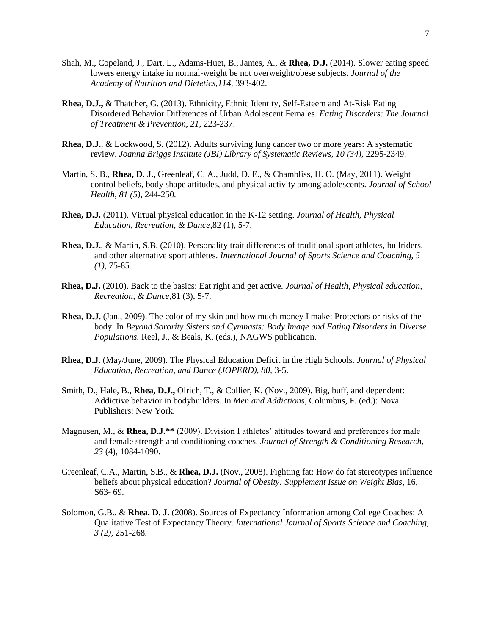- Shah, M., Copeland, J., Dart, L., Adams-Huet, B., James, A., & **Rhea, D.J.** (2014). Slower eating speed lowers energy intake in normal-weight be not overweight/obese subjects. *Journal of the Academy of Nutrition and Dietetics,114,* 393-402.
- **Rhea, D.J.,** & Thatcher, G. (2013). Ethnicity, Ethnic Identity, Self-Esteem and At-Risk Eating Disordered Behavior Differences of Urban Adolescent Females. *Eating Disorders: The Journal of Treatment & Prevention, 21*, 223-237.
- **Rhea, D.J.**, & Lockwood, S. (2012). Adults surviving lung cancer two or more years: A systematic review. *Joanna Briggs Institute (JBI) Library of Systematic Reviews, 10 (34), 2295-2349.*
- Martin, S. B., **Rhea, D. J.,** Greenleaf, C. A., Judd, D. E., & Chambliss, H. O. (May, 2011). Weight control beliefs, body shape attitudes, and physical activity among adolescents. *Journal of School Health, 81 (5)*, 244-250*.*
- **Rhea, D.J.** (2011). Virtual physical education in the K-12 setting. *Journal of Health, Physical Education, Recreation, & Dance*,82 (1), 5-7.
- **Rhea, D.J.**, & Martin, S.B. (2010). Personality trait differences of traditional sport athletes, bullriders, and other alternative sport athletes. *International Journal of Sports Science and Coaching, 5 (1),* 75-85*.*
- **Rhea, D.J.** (2010). Back to the basics: Eat right and get active. *Journal of Health, Physical education, Recreation, & Dance*,81 (3), 5-7.
- **Rhea, D.J.** (Jan., 2009). The color of my skin and how much money I make: Protectors or risks of the body. In *Beyond Sorority Sisters and Gymnasts: Body Image and Eating Disorders in Diverse Populations.* Reel, J., & Beals, K. (eds.), NAGWS publication.
- **Rhea, D.J.** (May/June, 2009). The Physical Education Deficit in the High Schools. *Journal of Physical Education, Recreation, and Dance (JOPERD), 80,* 3-5.
- Smith, D., Hale, B., **Rhea, D.J.,** Olrich, T., & Collier, K. (Nov., 2009). Big, buff, and dependent: Addictive behavior in bodybuilders. In *Men and Addictions,* Columbus, F. (ed.): Nova Publishers: New York.
- Magnusen, M., & **Rhea, D.J.\*\*** (2009). Division I athletes' attitudes toward and preferences for male and female strength and conditioning coaches. *Journal of Strength & Conditioning Research*, *23* (4), 1084-1090.
- Greenleaf, C.A., Martin, S.B., & **Rhea, D.J.** (Nov., 2008). Fighting fat: How do fat stereotypes influence beliefs about physical education? *Journal of Obesity: Supplement Issue on Weight Bias,* 16, S63- 69.
- Solomon, G.B., & **Rhea, D. J.** (2008). Sources of Expectancy Information among College Coaches: A Qualitative Test of Expectancy Theory. *International Journal of Sports Science and Coaching, 3 (2),* 251-268*.*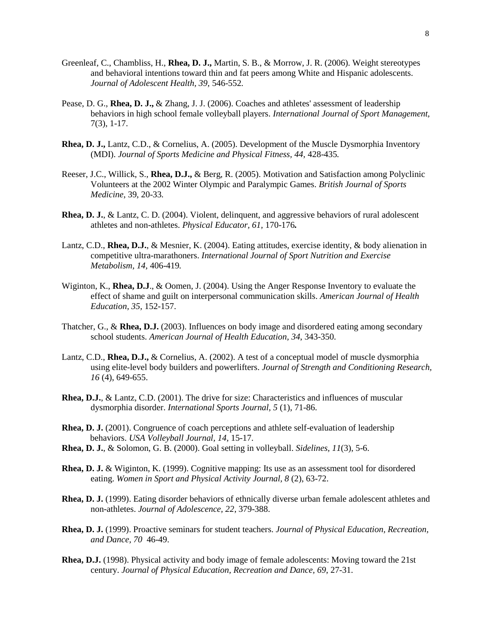- Greenleaf, C., Chambliss, H., **Rhea, D. J.,** Martin, S. B., & Morrow, J. R. (2006). Weight stereotypes and behavioral intentions toward thin and fat peers among White and Hispanic adolescents. *Journal of Adolescent Health, 39,* 546-552*.*
- Pease, D. G., **Rhea, D. J.,** & Zhang, J. J. (2006). Coaches and athletes' assessment of leadership behaviors in high school female volleyball players. *International Journal of Sport Management,*  7(3), 1-17.
- **Rhea, D. J.,** Lantz, C.D., & Cornelius, A. (2005). Development of the Muscle Dysmorphia Inventory (MDI). *Journal of Sports Medicine and Physical Fitness, 44,* 428-435*.*
- Reeser, J.C., Willick, S., **Rhea, D.J.,** & Berg, R. (2005). Motivation and Satisfaction among Polyclinic Volunteers at the 2002 Winter Olympic and Paralympic Games. *British Journal of Sports Medicine*, 39, 20-33*.*
- **Rhea, D. J.**, & Lantz, C. D. (2004). Violent, delinquent, and aggressive behaviors of rural adolescent athletes and non-athletes. *Physical Educator, 61,* 170-176*.*
- Lantz, C.D., **Rhea, D.J.**, & Mesnier, K. (2004). Eating attitudes, exercise identity, & body alienation in competitive ultra-marathoners. *International Journal of Sport Nutrition and Exercise Metabolism, 14,* 406-419*.*
- Wiginton, K., **Rhea, D.J**., & Oomen, J. (2004). Using the Anger Response Inventory to evaluate the effect of shame and guilt on interpersonal communication skills. *American Journal of Health Education, 35,* 152-157.
- Thatcher, G., & **Rhea, D.J.** (2003). Influences on body image and disordered eating among secondary school students. *American Journal of Health Education, 34*, 343-350.
- Lantz, C.D., **Rhea, D.J.,** & Cornelius, A. (2002). A test of a conceptual model of muscle dysmorphia using elite-level body builders and powerlifters. *Journal of Strength and Conditioning Research, 16* (4), 649-655.
- **Rhea, D.J.**, & Lantz, C.D. (2001). The drive for size: Characteristics and influences of muscular dysmorphia disorder. *International Sports Journal, 5* (1), 71-86.
- **Rhea, D. J.** (2001). Congruence of coach perceptions and athlete self-evaluation of leadership behaviors. *USA Volleyball Journal, 14,* 15-17.
- **Rhea, D. J.**, & Solomon, G. B. (2000). Goal setting in volleyball. *Sidelines, 11*(3), 5-6.
- **Rhea, D. J.** & Wiginton, K. (1999). Cognitive mapping: Its use as an assessment tool for disordered eating. *Women in Sport and Physical Activity Journal, 8* (2), 63-72.
- **Rhea, D. J.** (1999). Eating disorder behaviors of ethnically diverse urban female adolescent athletes and non-athletes. *Journal of Adolescence, 22*, 379-388.
- **Rhea, D. J.** (1999). Proactive seminars for student teachers. *Journal of Physical Education, Recreation, and Dance, 70* 46-49.
- **Rhea, D.J.** (1998). Physical activity and body image of female adolescents: Moving toward the 21st century. *Journal of Physical Education, Recreation and Dance, 69*, 27-31.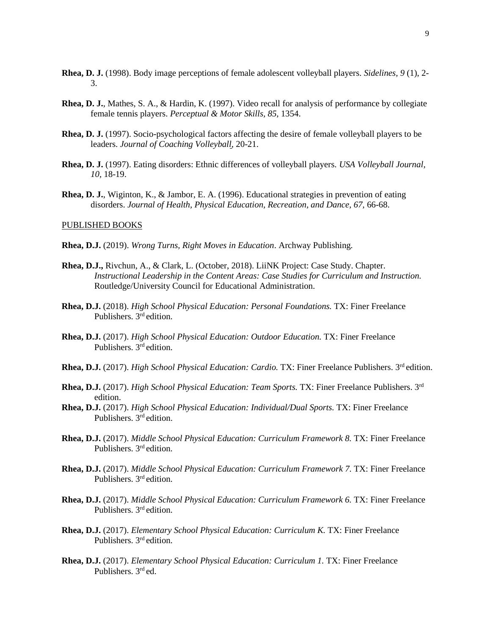- **Rhea, D. J.** (1998). Body image perceptions of female adolescent volleyball players. *Sidelines, 9* (1), 2- 3.
- **Rhea, D. J.**, Mathes, S. A., & Hardin, K. (1997). Video recall for analysis of performance by collegiate female tennis players. *Perceptual & Motor Skills, 85,* 1354.
- **Rhea, D. J.** (1997). Socio-psychological factors affecting the desire of female volleyball players to be leaders. *Journal of Coaching Volleyball*, 20-21.
- **Rhea, D. J.** (1997). Eating disorders: Ethnic differences of volleyball players. *USA Volleyball Journal, 10,* 18-19.
- **Rhea, D. J.**, Wiginton, K., & Jambor, E. A. (1996). Educational strategies in prevention of eating disorders. *Journal of Health, Physical Education, Recreation, and Dance, 67,* 66-68.

# PUBLISHED BOOKS

- **Rhea, D.J.** (2019). *Wrong Turns, Right Moves in Education*. Archway Publishing.
- **Rhea, D.J.,** Rivchun, A., & Clark, L. (October, 2018). LiiNK Project: Case Study. Chapter. *Instructional Leadership in the Content Areas: Case Studies for Curriculum and Instruction.* Routledge/University Council for Educational Administration.
- **Rhea, D.J.** (2018). *High School Physical Education: Personal Foundations.* TX: Finer Freelance Publishers. 3rd edition.
- **Rhea, D.J.** (2017). *High School Physical Education: Outdoor Education.* TX: Finer Freelance Publishers. 3rd edition.
- **Rhea, D.J.** (2017). *High School Physical Education: Cardio.* TX: Finer Freelance Publishers. 3<sup>rd</sup> edition.
- **Rhea, D.J.** (2017). *High School Physical Education: Team Sports.* TX: Finer Freelance Publishers. 3rd edition.
- **Rhea, D.J.** (2017). *High School Physical Education: Individual/Dual Sports.* TX: Finer Freelance Publishers. 3rd edition.
- **Rhea, D.J.** (2017). *Middle School Physical Education: Curriculum Framework 8.* TX: Finer Freelance Publishers. 3<sup>rd</sup> edition.
- **Rhea, D.J.** (2017). *Middle School Physical Education: Curriculum Framework 7.* TX: Finer Freelance Publishers. 3<sup>rd</sup> edition.
- **Rhea, D.J.** (2017). *Middle School Physical Education: Curriculum Framework 6.* TX: Finer Freelance Publishers. 3<sup>rd</sup> edition.
- **Rhea, D.J.** (2017). *Elementary School Physical Education: Curriculum K.* TX: Finer Freelance Publishers. 3<sup>rd</sup> edition.
- **Rhea, D.J.** (2017). *Elementary School Physical Education: Curriculum 1.* TX: Finer Freelance Publishers. 3rd ed.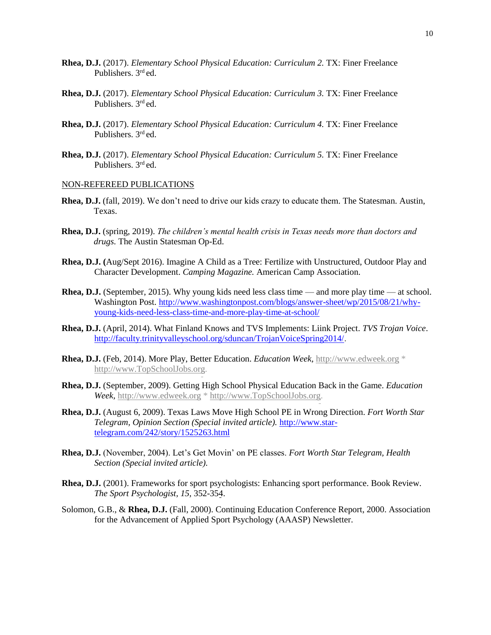- **Rhea, D.J.** (2017). *Elementary School Physical Education: Curriculum 2.* TX: Finer Freelance Publishers. 3rd ed.
- **Rhea, D.J.** (2017). *Elementary School Physical Education: Curriculum 3.* TX: Finer Freelance Publishers. 3rd ed.
- **Rhea, D.J.** (2017). *Elementary School Physical Education: Curriculum 4.* TX: Finer Freelance Publishers. 3<sup>rd</sup> ed.
- **Rhea, D.J.** (2017). *Elementary School Physical Education: Curriculum 5.* TX: Finer Freelance Publishers. 3rd ed.

#### NON-REFEREED PUBLICATIONS

- **Rhea, D.J.** (fall, 2019). We don't need to drive our kids crazy to educate them. The Statesman. Austin, Texas.
- **Rhea, D.J.** (spring, 2019). *The children's mental health crisis in Texas needs more than doctors and drugs.* The Austin Statesman Op-Ed.
- **Rhea, D.J. (**Aug/Sept 2016). Imagine A Child as a Tree: Fertilize with Unstructured, Outdoor Play and Character Development. *Camping Magazine.* American Camp Association.
- **Rhea, D.J.** (September, 2015). Why young kids need less class time and more play time at school. Washington Post. [http://www.washingtonpost.com/blogs/answer-sheet/wp/2015/08/21/why](http://www.washingtonpost.com/blogs/answer-sheet/wp/2015/08/21/why-young-kids-need-less-class-time-and-more-play-time-at-school/)[young-kids-need-less-class-time-and-more-play-time-at-school/](http://www.washingtonpost.com/blogs/answer-sheet/wp/2015/08/21/why-young-kids-need-less-class-time-and-more-play-time-at-school/)
- **Rhea, D.J.** (April, 2014). What Finland Knows and TVS Implements: Liink Project. *TVS Trojan Voice*. [http://faculty.trinityvalleyschool.org/sduncan/TrojanVoiceSpring2014/.](http://faculty.trinityvalleyschool.org/sduncan/TrojanVoiceSpring2014/)
- **Rhea, D.J.** (Feb, 2014). More Play, Better Education. *Education Week,* [http://www.edweek.org](https://mobile.tcu.edu/owa/redir.aspx?C=0b3b50cf97d7429ab4ec94af7b4e75ea&URL=http%3a%2f%2fwww.edweek.org%2f) \* [http://www.TopSchoolJobs.org.](https://mobile.tcu.edu/owa/redir.aspx?C=0b3b50cf97d7429ab4ec94af7b4e75ea&URL=http%3a%2f%2fwww.TopSchoolJobs.org)
- **Rhea, D.J.** (September, 2009). Getting High School Physical Education Back in the Game. *Education Week,* [http://www.edweek.org](https://mobile.tcu.edu/owa/redir.aspx?C=0b3b50cf97d7429ab4ec94af7b4e75ea&URL=http%3a%2f%2fwww.edweek.org%2f) [\\* http://www.TopSchoolJobs.org.](https://mobile.tcu.edu/owa/redir.aspx?C=0b3b50cf97d7429ab4ec94af7b4e75ea&URL=http%3a%2f%2fwww.TopSchoolJobs.org)
- **Rhea, D.J.** (August 6, 2009). Texas Laws Move High School PE in Wrong Direction. *Fort Worth Star Telegram, Opinion Section (Special invited article).* [http://www.star](https://mobile.tcu.edu/owa/redir.aspx?C=0b3b50cf97d7429ab4ec94af7b4e75ea&URL=http%3a%2f%2fwww.star-telegram.com%2f242%2fstory%2f1525263.html)[telegram.com/242/story/1525263.html](https://mobile.tcu.edu/owa/redir.aspx?C=0b3b50cf97d7429ab4ec94af7b4e75ea&URL=http%3a%2f%2fwww.star-telegram.com%2f242%2fstory%2f1525263.html)
- **Rhea, D.J.** (November, 2004). Let's Get Movin' on PE classes. *Fort Worth Star Telegram, Health Section (Special invited article).*
- **Rhea, D.J.** (2001). Frameworks for sport psychologists: Enhancing sport performance. Book Review. *The Sport Psychologist, 15,* 352-354.
- Solomon, G.B., & **Rhea, D.J.** (Fall, 2000). Continuing Education Conference Report, 2000. Association for the Advancement of Applied Sport Psychology (AAASP) Newsletter.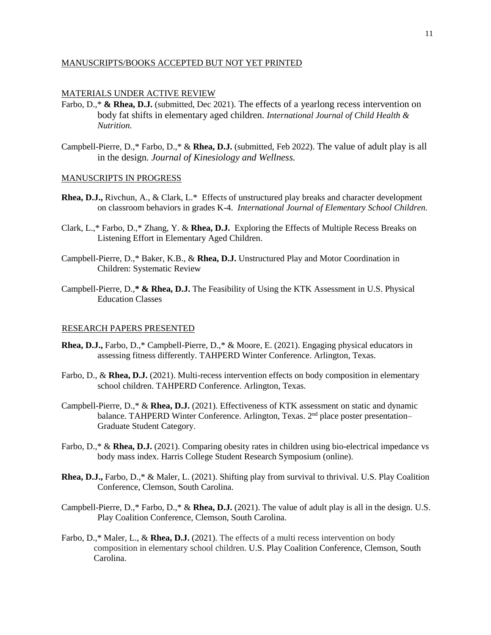# MANUSCRIPTS/BOOKS ACCEPTED BUT NOT YET PRINTED

#### MATERIALS UNDER ACTIVE REVIEW

- Farbo, D.,\* & Rhea, D.J. (submitted, Dec 2021). The effects of a yearlong recess intervention on body fat shifts in elementary aged children. *International Journal of Child Health & Nutrition.*
- Campbell-Pierre, D.,\* Farbo, D.,\* & **Rhea, D.J.** (submitted, Feb 2022). The value of adult play is all in the design. *Journal of Kinesiology and Wellness.*

#### MANUSCRIPTS IN PROGRESS

- **Rhea, D.J.,** Rivchun, A., & Clark, L.\* Effects of unstructured play breaks and character development on classroom behaviors in grades K-4. *International Journal of Elementary School Children.*
- Clark, L.,\* Farbo, D.,\* Zhang, Y. & **Rhea, D.J.** Exploring the Effects of Multiple Recess Breaks on Listening Effort in Elementary Aged Children.
- Campbell-Pierre, D.,\* Baker, K.B., & **Rhea, D.J.** Unstructured Play and Motor Coordination in Children: Systematic Review
- Campbell-Pierre, D.,**\* & Rhea, D.J.** The Feasibility of Using the KTK Assessment in U.S. Physical Education Classes

#### RESEARCH PAPERS PRESENTED

- **Rhea, D.J.,** Farbo, D.,\* Campbell-Pierre, D.,\* & Moore, E. (2021). Engaging physical educators in assessing fitness differently. TAHPERD Winter Conference. Arlington, Texas.
- Farbo, D., & **Rhea, D.J.** (2021). Multi-recess intervention effects on body composition in elementary school children. TAHPERD Conference. Arlington, Texas.
- Campbell-Pierre, D.,\* & **Rhea, D.J.** (2021). Effectiveness of KTK assessment on static and dynamic balance. TAHPERD Winter Conference. Arlington, Texas.  $2<sup>nd</sup>$  place poster presentation– Graduate Student Category.
- Farbo, D.,\* & **Rhea, D.J.** (2021). Comparing obesity rates in children using bio-electrical impedance vs body mass index. Harris College Student Research Symposium (online).
- **Rhea, D.J.,** Farbo, D.,\* & Maler, L. (2021). Shifting play from survival to thrivival. U.S. Play Coalition Conference, Clemson, South Carolina.
- Campbell-Pierre, D.,\* Farbo, D.,\* & **Rhea, D.J.** (2021). The value of adult play is all in the design. U.S. Play Coalition Conference, Clemson, South Carolina.
- Farbo, D.,\* Maler, L., & **Rhea, D.J.** (2021). The effects of a multi recess intervention on body composition in elementary school children. U.S. Play Coalition Conference, Clemson, South Carolina.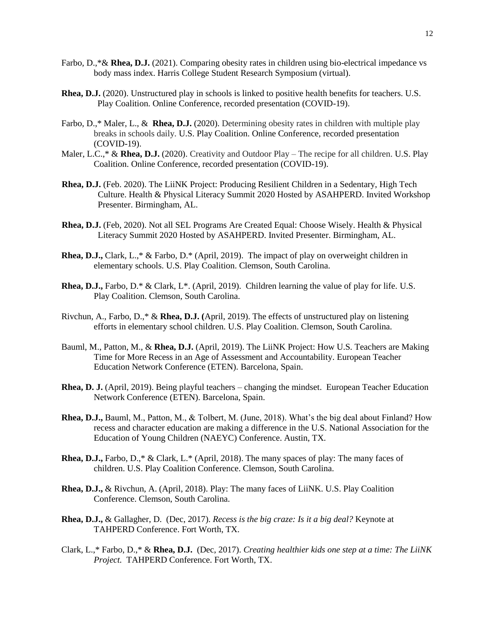- Farbo, D.,\*& **Rhea, D.J.** (2021). Comparing obesity rates in children using bio-electrical impedance vs body mass index. Harris College Student Research Symposium (virtual).
- **Rhea, D.J.** (2020). Unstructured play in schools is linked to positive health benefits for teachers. U.S. Play Coalition. Online Conference, recorded presentation (COVID-19).
- Farbo, D.,\* Maler, L., & **Rhea, D.J.** (2020). Determining obesity rates in children with multiple play breaks in schools daily. U.S. Play Coalition. Online Conference, recorded presentation (COVID-19).
- Maler, L.C.,\* & **Rhea, D.J.** (2020). Creativity and Outdoor Play The recipe for all children. U.S. Play Coalition. Online Conference, recorded presentation (COVID-19).
- **Rhea, D.J.** (Feb. 2020). The LiiNK Project: Producing Resilient Children in a Sedentary, High Tech Culture. Health & Physical Literacy Summit 2020 Hosted by ASAHPERD. Invited Workshop Presenter. Birmingham, AL.
- **Rhea, D.J.** (Feb, 2020). Not all SEL Programs Are Created Equal: Choose Wisely. Health & Physical Literacy Summit 2020 Hosted by ASAHPERD. Invited Presenter. Birmingham, AL.
- **Rhea, D.J.,** Clark, L.,\* & Farbo, D.\* (April, 2019). The impact of play on overweight children in elementary schools. U.S. Play Coalition. Clemson, South Carolina.
- **Rhea, D.J.,** Farbo, D.\* & Clark, L\*. (April, 2019). Children learning the value of play for life. U.S. Play Coalition. Clemson, South Carolina.
- Rivchun, A., Farbo, D.,\* & **Rhea, D.J. (**April, 2019). The effects of unstructured play on listening efforts in elementary school children. U.S. Play Coalition. Clemson, South Carolina.
- Bauml, M., Patton, M., & **Rhea, D.J.** (April, 2019). The LiiNK Project: How U.S. Teachers are Making Time for More Recess in an Age of Assessment and Accountability. European Teacher Education Network Conference (ETEN). Barcelona, Spain.
- **Rhea, D. J.** (April, 2019). Being playful teachers changing the mindset. European Teacher Education Network Conference (ETEN). Barcelona, Spain.
- **Rhea, D.J.,** Bauml, M., Patton, M., & Tolbert, M. (June, 2018). What's the big deal about Finland? How recess and character education are making a difference in the U.S. National Association for the Education of Young Children (NAEYC) Conference. Austin, TX.
- **Rhea, D.J.,** Farbo, D.,\* & Clark, L.\* (April, 2018). The many spaces of play: The many faces of children. U.S. Play Coalition Conference. Clemson, South Carolina.
- **Rhea, D.J.,** & Rivchun, A. (April, 2018). Play: The many faces of LiiNK. U.S. Play Coalition Conference. Clemson, South Carolina.
- **Rhea, D.J.,** & Gallagher, D. (Dec, 2017). *Recess is the big craze: Is it a big deal?* Keynote at TAHPERD Conference. Fort Worth, TX.
- Clark, L.,\* Farbo, D.,\* & **Rhea, D.J.** (Dec, 2017). *Creating healthier kids one step at a time: The LiiNK Project.* TAHPERD Conference. Fort Worth, TX.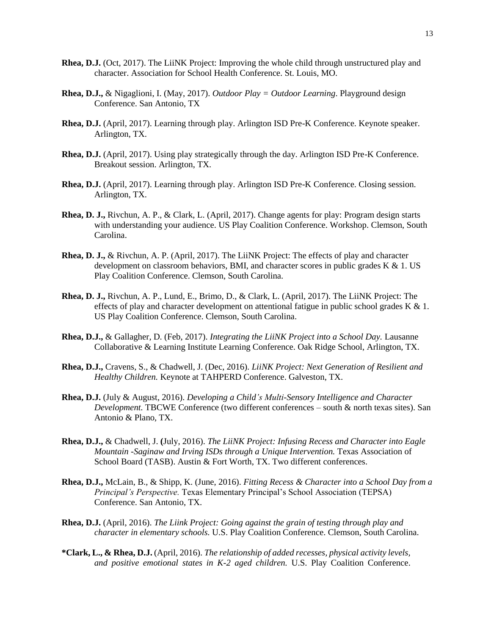- **Rhea, D.J.** (Oct, 2017). The LiiNK Project: Improving the whole child through unstructured play and character. Association for School Health Conference. St. Louis, MO.
- **Rhea, D.J.,** & Nigaglioni, I. (May, 2017). *Outdoor Play = Outdoor Learning*. Playground design Conference. San Antonio, TX
- **Rhea, D.J.** (April, 2017). Learning through play. Arlington ISD Pre-K Conference. Keynote speaker. Arlington, TX.
- **Rhea, D.J.** (April, 2017). Using play strategically through the day. Arlington ISD Pre-K Conference. Breakout session. Arlington, TX.
- **Rhea, D.J.** (April, 2017). Learning through play. Arlington ISD Pre-K Conference. Closing session. Arlington, TX.
- **Rhea, D. J.,** Rivchun, A. P., & Clark, L. (April, 2017). Change agents for play: Program design starts with understanding your audience. US Play Coalition Conference. Workshop. Clemson, South Carolina.
- **Rhea, D. J.,** & Rivchun, A. P. (April, 2017). The LiiNK Project: The effects of play and character development on classroom behaviors, BMI, and character scores in public grades  $K & 1$ . US Play Coalition Conference. Clemson, South Carolina.
- **Rhea, D. J.,** Rivchun, A. P., Lund, E., Brimo, D., & Clark, L. (April, 2017). The LiiNK Project: The effects of play and character development on attentional fatigue in public school grades  $K \& 1$ . US Play Coalition Conference. Clemson, South Carolina.
- **Rhea, D.J.,** & Gallagher, D. (Feb, 2017). *Integrating the LiiNK Project into a School Day.* Lausanne Collaborative & Learning Institute Learning Conference. Oak Ridge School, Arlington, TX.
- **Rhea, D.J.,** Cravens, S., & Chadwell, J. (Dec, 2016). *LiiNK Project: Next Generation of Resilient and Healthy Children.* Keynote at TAHPERD Conference. Galveston, TX.
- **Rhea, D.J.** (July & August, 2016). *Developing a Child's Multi-Sensory Intelligence and Character Development.* TBCWE Conference (two different conferences – south & north texas sites). San Antonio & Plano, TX.
- **Rhea, D.J.,** & Chadwell, J. **(**July, 2016). *The LiiNK Project: Infusing Recess and Character into Eagle Mountain -Saginaw and Irving ISDs through a Unique Intervention.* Texas Association of School Board (TASB). Austin & Fort Worth, TX. Two different conferences.
- **Rhea, D.J.,** McLain, B., & Shipp, K. (June, 2016). *Fitting Recess & Character into a School Day from a Principal's Perspective.* Texas Elementary Principal's School Association (TEPSA) Conference. San Antonio, TX.
- **Rhea, D.J.** (April, 2016). *The Liink Project: Going against the grain of testing through play and character in elementary schools.* U.S. Play Coalition Conference. Clemson, South Carolina.
- **\*Clark, L., & Rhea, D.J.** (April, 2016). *The relationship of added recesses, physical activity levels, and positive emotional states in K-2 aged children.* U.S. Play Coalition Conference.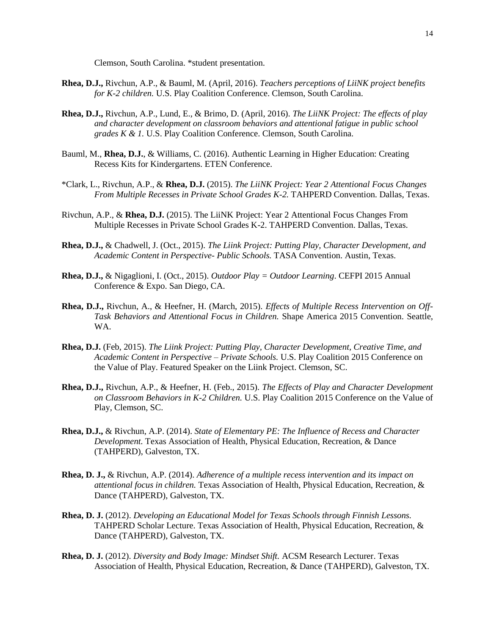Clemson, South Carolina. \*student presentation.

- **Rhea, D.J.,** Rivchun, A.P., & Bauml, M. (April, 2016). *Teachers perceptions of LiiNK project benefits for K-2 children.* U.S. Play Coalition Conference. Clemson, South Carolina.
- **Rhea, D.J.,** Rivchun, A.P., Lund, E., & Brimo, D. (April, 2016). *The LiiNK Project: The effects of play and character development on classroom behaviors and attentional fatigue in public school grades K & 1.* U.S. Play Coalition Conference. Clemson, South Carolina.
- Bauml, M., **Rhea, D.J.**, & Williams, C. (2016). Authentic Learning in Higher Education: Creating Recess Kits for Kindergartens. ETEN Conference.
- \*Clark, L., Rivchun, A.P., & **Rhea, D.J.** (2015). *The LiiNK Project: Year 2 Attentional Focus Changes From Multiple Recesses in Private School Grades K-2.* TAHPERD Convention. Dallas, Texas.
- Rivchun, A.P., & **Rhea, D.J.** (2015). The LiiNK Project: Year 2 Attentional Focus Changes From Multiple Recesses in Private School Grades K-2. TAHPERD Convention. Dallas, Texas.
- **Rhea, D.J.,** & Chadwell, J. (Oct., 2015). *The Liink Project: Putting Play, Character Development, and Academic Content in Perspective- Public Schools.* TASA Convention. Austin, Texas.
- **Rhea, D.J.,** & Nigaglioni, I. (Oct., 2015). *Outdoor Play = Outdoor Learning*. CEFPI 2015 Annual Conference & Expo. San Diego, CA.
- **Rhea, D.J.,** Rivchun, A., & Heefner, H. (March, 2015). *Effects of Multiple Recess Intervention on Off-Task Behaviors and Attentional Focus in Children.* Shape America 2015 Convention. Seattle, WA.
- **Rhea, D.J.** (Feb, 2015). *The Liink Project: Putting Play, Character Development, Creative Time, and Academic Content in Perspective – Private Schools.* U.S. Play Coalition 2015 Conference on the Value of Play. Featured Speaker on the Liink Project. Clemson, SC.
- **Rhea, D.J.,** Rivchun, A.P., & Heefner, H. (Feb., 2015). *The Effects of Play and Character Development on Classroom Behaviors in K-2 Children.* U.S. Play Coalition 2015 Conference on the Value of Play, Clemson, SC.
- **Rhea, D.J.,** & Rivchun, A.P. (2014). *State of Elementary PE: The Influence of Recess and Character Development.* Texas Association of Health, Physical Education, Recreation, & Dance (TAHPERD), Galveston, TX.
- **Rhea, D. J.,** & Rivchun, A.P. (2014). *Adherence of a multiple recess intervention and its impact on attentional focus in children.* Texas Association of Health, Physical Education, Recreation, & Dance (TAHPERD), Galveston, TX.
- **Rhea, D. J.** (2012). *Developing an Educational Model for Texas Schools through Finnish Lessons.* TAHPERD Scholar Lecture. Texas Association of Health, Physical Education, Recreation, & Dance (TAHPERD), Galveston, TX.
- **Rhea, D. J.** (2012). *Diversity and Body Image: Mindset Shift.* ACSM Research Lecturer. Texas Association of Health, Physical Education, Recreation, & Dance (TAHPERD), Galveston, TX.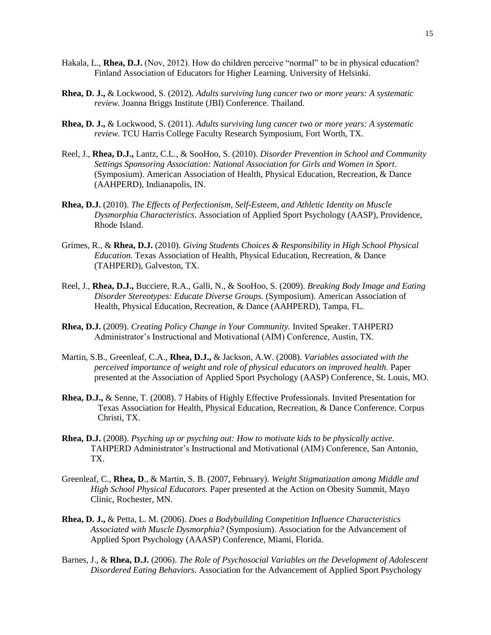- Hakala, L., **Rhea, D.J.** (Nov, 2012). How do children perceive "normal" to be in physical education? Finland Association of Educators for Higher Learning. University of Helsinki.
- **Rhea, D. J.,** & Lockwood, S. (2012). *Adults surviving lung cancer two or more years: A systematic review.* Joanna Briggs Institute (JBI) Conference. Thailand.
- **Rhea, D. J.,** & Lockwood, S. (2011). *Adults surviving lung cancer two or more years: A systematic review.* TCU Harris College Faculty Research Symposium, Fort Worth, TX.
- Reel, J., **Rhea, D.J.,** Lantz, C.L., & SooHoo, S. (2010). *Disorder Prevention in School and Community Settings Sponsoring Association: National Association for Girls and Women in Sport*. (Symposium). American Association of Health, Physical Education, Recreation, & Dance (AAHPERD), Indianapolis, IN.
- **Rhea, D.J.** (2010). *The Effects of Perfectionism, Self-Esteem, and Athletic Identity on Muscle Dysmorphia Characteristics*. Association of Applied Sport Psychology (AASP), Providence, Rhode Island.
- Grimes, R., & **Rhea, D.J.** (2010). *Giving Students Choices & Responsibility in High School Physical Education.* Texas Association of Health, Physical Education, Recreation, & Dance (TAHPERD), Galveston, TX.
- Reel, J., **Rhea, D.J.,** Bucciere, R.A., Galli, N., & SooHoo, S. (2009). *Breaking Body Image and Eating Disorder Stereotypes: Educate Diverse Groups.* (Symposium). American Association of Health, Physical Education, Recreation, & Dance (AAHPERD), Tampa, FL.
- **Rhea, D.J.** (2009). *Creating Policy Change in Your Community.* Invited Speaker. TAHPERD Administrator's Instructional and Motivational (AIM) Conference, Austin, TX.
- Martin, S.B., Greenleaf, C.A., **Rhea, D.J.,** & Jackson, A.W. (2008). *Variables associated with the perceived importance of weight and role of physical educators on improved health*. Paper presented at the Association of Applied Sport Psychology (AASP) Conference, St. Louis, MO.
- **Rhea, D.J.,** & Senne, T. (2008). 7 Habits of Highly Effective Professionals. Invited Presentation for Texas Association for Health, Physical Education, Recreation, & Dance Conference. Corpus Christi, TX.
- **Rhea, D.J.** (2008). *Psyching up or psyching out: How to motivate kids to be physically active.* TAHPERD Administrator's Instructional and Motivational (AIM) Conference, San Antonio, TX.
- Greenleaf, C., **Rhea, D**., & Martin, S. B. (2007, February). *Weight Stigmatization among Middle and High School Physical Educators.* Paper presented at the Action on Obesity Summit, Mayo Clinic, Rochester, MN.
- **Rhea, D. J.,** & Petta, L. M. (2006). *Does a Bodybuilding Competition Influence Characteristics Associated with Muscle Dysmorphia?* (Symposium). Association for the Advancement of Applied Sport Psychology (AAASP) Conference, Miami, Florida.
- Barnes, J., & **Rhea, D.J.** (2006). *The Role of Psychosocial Variables on the Development of Adolescent Disordered Eating Behaviors.* Association for the Advancement of Applied Sport Psychology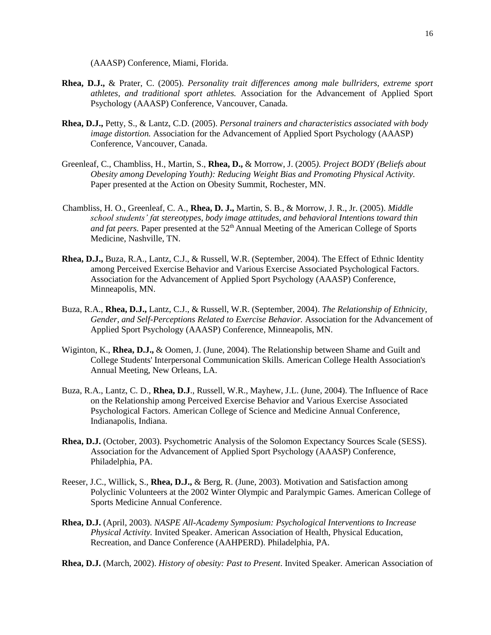(AAASP) Conference, Miami, Florida.

- **Rhea, D.J.,** & Prater, C. (2005). *Personality trait differences among male bullriders, extreme sport athletes, and traditional sport athletes.* Association for the Advancement of Applied Sport Psychology (AAASP) Conference, Vancouver, Canada.
- **Rhea, D.J.,** Petty, S., & Lantz, C.D. (2005). *Personal trainers and characteristics associated with body image distortion.* Association for the Advancement of Applied Sport Psychology (AAASP) Conference, Vancouver, Canada.
- Greenleaf, C., Chambliss, H., Martin, S., **Rhea, D.,** & Morrow, J. (2005*). Project BODY (Beliefs about Obesity among Developing Youth): Reducing Weight Bias and Promoting Physical Activity.*  Paper presented at the Action on Obesity Summit, Rochester, MN.
- Chambliss, H. O., Greenleaf, C. A., **Rhea, D. J.,** Martin, S. B., & Morrow, J. R., Jr. (2005). *Middle school students' fat stereotypes, body image attitudes, and behavioral Intentions toward thin*  and fat peers. Paper presented at the 52<sup>th</sup> Annual Meeting of the American College of Sports Medicine, Nashville, TN.
- **Rhea, D.J.,** Buza, R.A., Lantz, C.J., & Russell, W.R. (September, 2004). The Effect of Ethnic Identity among Perceived Exercise Behavior and Various Exercise Associated Psychological Factors. Association for the Advancement of Applied Sport Psychology (AAASP) Conference, Minneapolis, MN.
- Buza, R.A., **Rhea, D.J.,** Lantz, C.J., & Russell, W.R. (September, 2004). *The Relationship of Ethnicity, Gender, and Self-Perceptions Related to Exercise Behavior.* Association for the Advancement of Applied Sport Psychology (AAASP) Conference, Minneapolis, MN.
- Wiginton, K., **Rhea, D.J.,** & Oomen, J. (June, 2004). The Relationship between Shame and Guilt and College Students' Interpersonal Communication Skills. American College Health Association's Annual Meeting, New Orleans, LA.
- Buza, R.A., Lantz, C. D., **Rhea, D.J**., Russell, W.R., Mayhew, J.L. (June, 2004). The Influence of Race on the Relationship among Perceived Exercise Behavior and Various Exercise Associated Psychological Factors. American College of Science and Medicine Annual Conference, Indianapolis, Indiana.
- **Rhea, D.J.** (October, 2003). Psychometric Analysis of the Solomon Expectancy Sources Scale (SESS). Association for the Advancement of Applied Sport Psychology (AAASP) Conference, Philadelphia, PA.
- Reeser, J.C., Willick, S., **Rhea, D.J.,** & Berg, R. (June, 2003). Motivation and Satisfaction among Polyclinic Volunteers at the 2002 Winter Olympic and Paralympic Games. American College of Sports Medicine Annual Conference.
- **Rhea, D.J.** (April, 2003). *NASPE All-Academy Symposium: Psychological Interventions to Increase Physical Activity.* Invited Speaker. American Association of Health, Physical Education, Recreation, and Dance Conference (AAHPERD). Philadelphia, PA.
- **Rhea, D.J.** (March, 2002). *History of obesity: Past to Present*. Invited Speaker. American Association of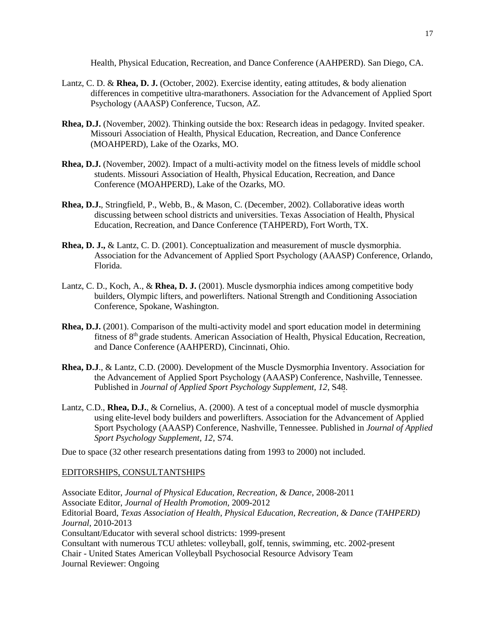Health, Physical Education, Recreation, and Dance Conference (AAHPERD). San Diego, CA.

- Lantz, C. D. & **Rhea, D. J.** (October, 2002). Exercise identity, eating attitudes, & body alienation differences in competitive ultra-marathoners. Association for the Advancement of Applied Sport Psychology (AAASP) Conference, Tucson, AZ.
- **Rhea, D.J.** (November, 2002). Thinking outside the box: Research ideas in pedagogy. Invited speaker. Missouri Association of Health, Physical Education, Recreation, and Dance Conference (MOAHPERD), Lake of the Ozarks, MO.
- **Rhea, D.J.** (November, 2002). Impact of a multi-activity model on the fitness levels of middle school students. Missouri Association of Health, Physical Education, Recreation, and Dance Conference (MOAHPERD), Lake of the Ozarks, MO.
- **Rhea, D.J.**, Stringfield, P., Webb, B., & Mason, C. (December, 2002). Collaborative ideas worth discussing between school districts and universities. Texas Association of Health, Physical Education, Recreation, and Dance Conference (TAHPERD), Fort Worth, TX.
- **Rhea, D. J.,** & Lantz, C. D. (2001). Conceptualization and measurement of muscle dysmorphia. Association for the Advancement of Applied Sport Psychology (AAASP) Conference, Orlando, Florida.
- Lantz, C. D., Koch, A., & **Rhea, D. J.** (2001). Muscle dysmorphia indices among competitive body builders, Olympic lifters, and powerlifters. National Strength and Conditioning Association Conference, Spokane, Washington.
- **Rhea, D.J.** (2001). Comparison of the multi-activity model and sport education model in determining fitness of 8th grade students. American Association of Health, Physical Education, Recreation, and Dance Conference (AAHPERD), Cincinnati, Ohio.
- **Rhea, D.J**., & Lantz, C.D. (2000). Development of the Muscle Dysmorphia Inventory. Association for the Advancement of Applied Sport Psychology (AAASP) Conference, Nashville, Tennessee. Published in *Journal of Applied Sport Psychology Supplement, 12*, S48.
- Lantz, C.D., **Rhea, D.J.**, & Cornelius, A. (2000). A test of a conceptual model of muscle dysmorphia using elite-level body builders and powerlifters. Association for the Advancement of Applied Sport Psychology (AAASP) Conference, Nashville, Tennessee. Published in *Journal of Applied Sport Psychology Supplement, 12,* S74.

Due to space (32 other research presentations dating from 1993 to 2000) not included.

# EDITORSHIPS, CONSULTANTSHIPS

Associate Editor, *Journal of Physical Education, Recreation, & Dance*, 2008-2011 Associate Editor, *Journal of Health Promotion,* 2009-2012 Editorial Board, *Texas Association of Health, Physical Education, Recreation, & Dance (TAHPERD) Journal*, 2010-2013 Consultant/Educator with several school districts: 1999-present Consultant with numerous TCU athletes: volleyball, golf, tennis, swimming, etc. 2002-present Chair - United States American Volleyball Psychosocial Resource Advisory Team Journal Reviewer: Ongoing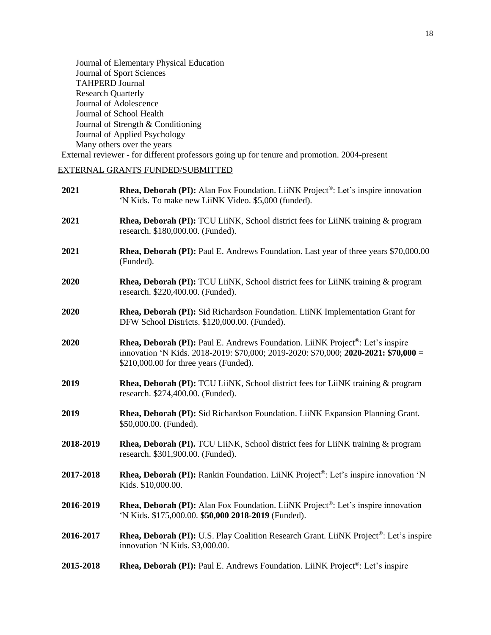Journal of Elementary Physical Education Journal of Sport Sciences TAHPERD Journal Research Quarterly Journal of Adolescence Journal of School Health Journal of Strength & Conditioning Journal of Applied Psychology Many others over the years External reviewer - for different professors going up for tenure and promotion. 2004-present

# EXTERNAL GRANTS FUNDED/SUBMITTED

| 2021      | <b>Rhea, Deborah (PI):</b> Alan Fox Foundation. LiiNK Project <sup>®</sup> : Let's inspire innovation<br>'N Kids. To make new LiiNK Video. \$5,000 (funded).                                                                       |
|-----------|------------------------------------------------------------------------------------------------------------------------------------------------------------------------------------------------------------------------------------|
| 2021      | <b>Rhea, Deborah (PI):</b> TCU LiiNK, School district fees for LiiNK training & program<br>research. \$180,000.00. (Funded).                                                                                                       |
| 2021      | Rhea, Deborah (PI): Paul E. Andrews Foundation. Last year of three years \$70,000.00<br>(Funded).                                                                                                                                  |
| 2020      | Rhea, Deborah (PI): TCU LiiNK, School district fees for LiiNK training & program<br>research. \$220,400.00. (Funded).                                                                                                              |
| 2020      | Rhea, Deborah (PI): Sid Richardson Foundation. LiiNK Implementation Grant for<br>DFW School Districts. \$120,000.00. (Funded).                                                                                                     |
| 2020      | <b>Rhea, Deborah (PI):</b> Paul E. Andrews Foundation. LiiNK Project <sup>®</sup> : Let's inspire<br>innovation 'N Kids. 2018-2019: \$70,000; 2019-2020: \$70,000; 2020-2021: \$70,000 =<br>\$210,000.00 for three years (Funded). |
| 2019      | <b>Rhea, Deborah (PI):</b> TCU LiiNK, School district fees for LiiNK training & program<br>research. \$274,400.00. (Funded).                                                                                                       |
| 2019      | Rhea, Deborah (PI): Sid Richardson Foundation. LiiNK Expansion Planning Grant.<br>\$50,000.00. (Funded).                                                                                                                           |
| 2018-2019 | <b>Rhea, Deborah (PI).</b> TCU LiiNK, School district fees for LiiNK training & program<br>research. \$301,900.00. (Funded).                                                                                                       |
| 2017-2018 | <b>Rhea, Deborah (PI):</b> Rankin Foundation. LiiNK Project <sup>®</sup> : Let's inspire innovation 'N<br>Kids. \$10,000.00.                                                                                                       |
| 2016-2019 | Rhea, Deborah (PI): Alan Fox Foundation. LiiNK Project <sup>®</sup> : Let's inspire innovation<br>'N Kids. \$175,000.00. \$50,000 2018-2019 (Funded).                                                                              |
| 2016-2017 | Rhea, Deborah (PI): U.S. Play Coalition Research Grant. LiiNK Project <sup>®</sup> : Let's inspire<br>innovation 'N Kids. \$3,000.00.                                                                                              |
| 2015-2018 | Rhea, Deborah (PI): Paul E. Andrews Foundation. LiiNK Project <sup>®</sup> : Let's inspire                                                                                                                                         |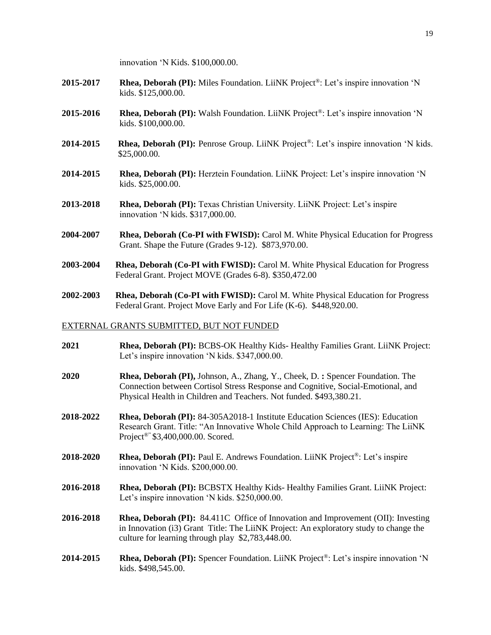innovation 'N Kids. \$100,000.00.

- **2015-2017 Rhea, Deborah (PI):** Miles Foundation. LiiNK Project®: Let's inspire innovation 'N kids. \$125,000.00.
- **2015-2016 Rhea, Deborah (PI):** Walsh Foundation. LiiNK Project®: Let's inspire innovation 'N kids. \$100,000.00.
- **2014-2015 Rhea, Deborah (PI):** Penrose Group. LiiNK Project®: Let's inspire innovation 'N kids. \$25,000.00.
- **2014-2015 Rhea, Deborah (PI):** Herztein Foundation. LiiNK Project: Let's inspire innovation 'N kids. \$25,000.00.
- **2013-2018 Rhea, Deborah (PI):** Texas Christian University. LiiNK Project: Let's inspire innovation 'N kids. \$317,000.00.
- **2004-2007 Rhea, Deborah (Co-PI with FWISD):** Carol M. White Physical Education for Progress Grant. Shape the Future (Grades 9-12). \$873,970.00.
- **2003-2004 Rhea, Deborah (Co-PI with FWISD):** Carol M. White Physical Education for Progress Federal Grant. Project MOVE (Grades 6-8). \$350,472.00
- **2002-2003 Rhea, Deborah (Co-PI with FWISD):** Carol M. White Physical Education for Progress Federal Grant. Project Move Early and For Life (K-6). \$448,920.00.

# EXTERNAL GRANTS SUBMITTED, BUT NOT FUNDED

- **2021 Rhea, Deborah (PI):** BCBS-OK Healthy Kids- Healthy Families Grant. LiiNK Project: Let's inspire innovation 'N kids. \$347,000.00.
- **2020 Rhea, Deborah (PI),** Johnson, A., Zhang, Y., Cheek, D. **:** Spencer Foundation. The Connection between Cortisol Stress Response and Cognitive, Social-Emotional, and Physical Health in Children and Teachers. Not funded. \$493,380.21.
- **2018-2022 Rhea, Deborah (PI):** 84-305A2018-1 Institute Education Sciences (IES): Education Research Grant. Title: "An Innovative Whole Child Approach to Learning: The LiiNK Project®" \$3,400,000.00. Scored.
- **2018-2020 Rhea, Deborah (PI):** Paul E. Andrews Foundation. LiiNK Project®: Let's inspire innovation 'N Kids. \$200,000.00.
- **2016-2018 Rhea, Deborah (PI):** BCBSTX Healthy Kids- Healthy Families Grant. LiiNK Project: Let's inspire innovation 'N kids. \$250,000.00.
- **2016-2018 Rhea, Deborah (PI):** 84.411C Office of Innovation and Improvement (OII): Investing in Innovation (i3) Grant Title: The LiiNK Project: An exploratory study to change the culture for learning through play \$2,783,448.00.
- **2014-2015 Rhea, Deborah (PI):** Spencer Foundation. LiiNK Project®: Let's inspire innovation 'N kids. \$498,545.00.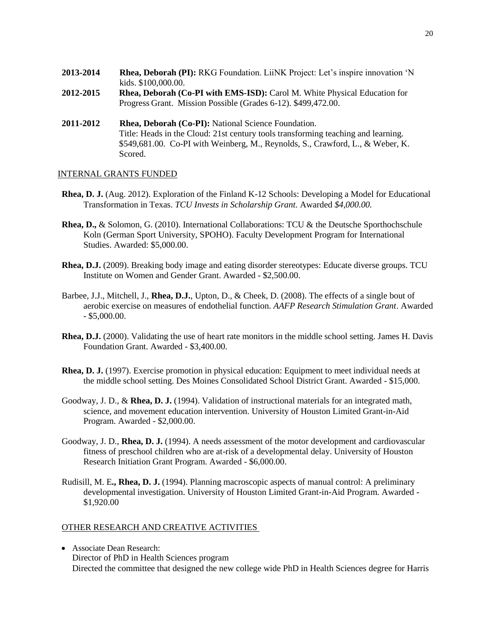- **2013-2014 Rhea, Deborah (PI):** RKG Foundation. LiiNK Project: Let's inspire innovation 'N kids. \$100,000.00.
- **2012-2015 Rhea, Deborah (Co-PI with EMS-ISD):** Carol M. White Physical Education for Progress Grant. Mission Possible (Grades 6-12). \$499,472.00.
- **2011-2012 Rhea, Deborah (Co-PI):** National Science Foundation. Title: Heads in the Cloud: 21st century tools transforming teaching and learning. \$549,681.00. Co-PI with Weinberg, M., Reynolds, S., Crawford, L., & Weber, K. Scored.

# INTERNAL GRANTS FUNDED

- **Rhea, D. J.** (Aug. 2012). Exploration of the Finland K-12 Schools: Developing a Model for Educational Transformation in Texas. *TCU Invests in Scholarship Grant.* Awarded *\$4,000.00.*
- **Rhea, D.,** & Solomon, G. (2010). International Collaborations: TCU & the Deutsche Sporthochschule Koln (German Sport University, SPOHO). Faculty Development Program for International Studies. Awarded: \$5,000.00.
- **Rhea, D.J.** (2009). Breaking body image and eating disorder stereotypes: Educate diverse groups. TCU Institute on Women and Gender Grant. Awarded - \$2,500.00.
- Barbee, J.J., Mitchell, J., **Rhea, D.J.**, Upton, D., & Cheek, D. (2008). The effects of a single bout of aerobic exercise on measures of endothelial function. *AAFP Research Stimulation Grant*. Awarded - \$5,000.00.
- **Rhea, D.J.** (2000). Validating the use of heart rate monitors in the middle school setting. James H. Davis Foundation Grant. Awarded - \$3,400.00.
- **Rhea, D. J.** (1997). Exercise promotion in physical education: Equipment to meet individual needs at the middle school setting. Des Moines Consolidated School District Grant. Awarded - \$15,000.
- Goodway, J. D., & **Rhea, D. J.** (1994). Validation of instructional materials for an integrated math, science, and movement education intervention. University of Houston Limited Grant-in-Aid Program. Awarded - \$2,000.00.
- Goodway, J. D., **Rhea, D. J.** (1994). A needs assessment of the motor development and cardiovascular fitness of preschool children who are at-risk of a developmental delay. University of Houston Research Initiation Grant Program. Awarded - \$6,000.00.
- Rudisill, M. E**., Rhea, D. J.** (1994). Planning macroscopic aspects of manual control: A preliminary developmental investigation. University of Houston Limited Grant-in-Aid Program. Awarded - \$1,920.00

# OTHER RESEARCH AND CREATIVE ACTIVITIES

 Associate Dean Research: Director of PhD in Health Sciences program Directed the committee that designed the new college wide PhD in Health Sciences degree for Harris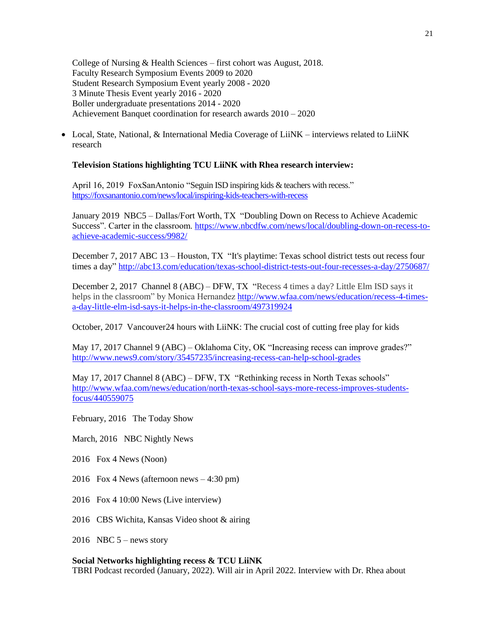College of Nursing & Health Sciences – first cohort was August, 2018. Faculty Research Symposium Events 2009 to 2020 Student Research Symposium Event yearly 2008 - 2020 3 Minute Thesis Event yearly 2016 - 2020 Boller undergraduate presentations 2014 - 2020 Achievement Banquet coordination for research awards 2010 – 2020

• Local, State, National, & International Media Coverage of LiiNK – interviews related to LiiNK research

# **Television Stations highlighting TCU LiiNK with Rhea research interview:**

April 16, 2019 FoxSanAntonio "Seguin ISD inspiring kids & teachers with recess." <https://foxsanantonio.com/news/local/inspiring-kids-teachers-with-recess>

January 2019 NBC5 – Dallas/Fort Worth, TX "Doubling Down on Recess to Achieve Academic Success". Carter in the classroom. [https://www.nbcdfw.com/news/local/doubling-down-on-recess-to](https://www.nbcdfw.com/news/local/doubling-down-on-recess-to-achieve-academic-success/9982/)[achieve-academic-success/9982/](https://www.nbcdfw.com/news/local/doubling-down-on-recess-to-achieve-academic-success/9982/)

December 7, 2017 ABC 13 – Houston, TX "It's playtime: Texas school district tests out recess four times a day[" http://abc13.com/education/texas-school-district-tests-out-four-recesses-a-day/2750687/](http://abc13.com/education/texas-school-district-tests-out-four-recesses-a-day/2750687/)

December 2, 2017 Channel 8 (ABC) – DFW, TX "Recess 4 times a day? Little Elm ISD says it helps in the classroom" by Monica Hernandez [http://www.wfaa.com/news/education/recess-4-times](http://www.wfaa.com/news/education/recess-4-times-a-day-little-elm-isd-says-it-helps-in-the-classroom/497319924)[a-day-little-elm-isd-says-it-helps-in-the-classroom/497319924](http://www.wfaa.com/news/education/recess-4-times-a-day-little-elm-isd-says-it-helps-in-the-classroom/497319924)

October, 2017 Vancouver24 hours with LiiNK: The crucial cost of cutting free play for kids

May 17, 2017 Channel 9 (ABC) – Oklahoma City, OK "Increasing recess can improve grades?" <http://www.news9.com/story/35457235/increasing-recess-can-help-school-grades>

May 17, 2017 Channel 8 (ABC) – DFW, TX "Rethinking recess in North Texas schools" [http://www.wfaa.com/news/education/north-texas-school-says-more-recess-improves-students](http://www.wfaa.com/news/education/north-texas-school-says-more-recess-improves-students-focus/440559075)[focus/440559075](http://www.wfaa.com/news/education/north-texas-school-says-more-recess-improves-students-focus/440559075)

February, 2016 The Today Show

March, 2016 NBC Nightly News

2016 Fox 4 News (Noon)

2016 Fox 4 News (afternoon news – 4:30 pm)

2016 Fox 4 10:00 News (Live interview)

2016 CBS Wichita, Kansas Video shoot & airing

2016 NBC  $5$  – news story

#### **Social Networks highlighting recess & TCU LiiNK**

TBRI Podcast recorded (January, 2022). Will air in April 2022. Interview with Dr. Rhea about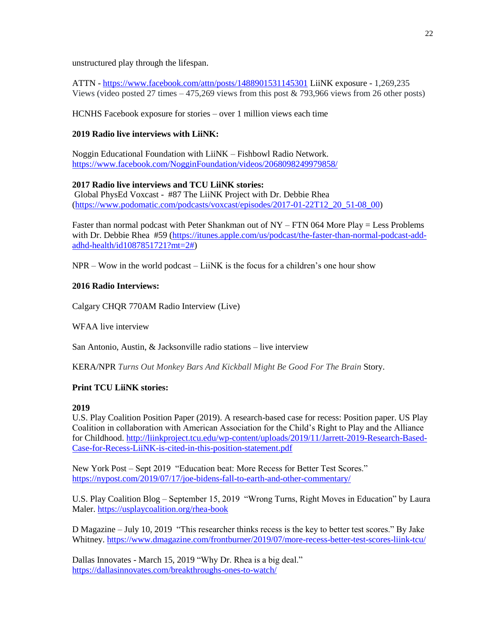unstructured play through the lifespan.

ATTN - <https://www.facebook.com/attn/posts/1488901531145301> LiiNK exposure - 1,269,235 Views (video posted 27 times  $-475,269$  views from this post & 793,966 views from 26 other posts)

HCNHS Facebook exposure for stories – over 1 million views each time

# **2019 Radio live interviews with LiiNK:**

Noggin Educational Foundation with LiiNK – Fishbowl Radio Network. <https://www.facebook.com/NogginFoundation/videos/2068098249979858/>

# **2017 Radio live interviews and TCU LiiNK stories:**

Global PhysEd Voxcast - #87 The LiiNK Project with Dr. Debbie Rhea [\(https://www.podomatic.com/podcasts/voxcast/episodes/2017-01-22T12\\_20\\_51-08\\_00\)](https://www.podomatic.com/podcasts/voxcast/episodes/2017-01-22T12_20_51-08_00)

Faster than normal podcast with Peter Shankman out of NY – FTN 064 More Play = Less Problems with Dr. Debbie Rhea #59 [\(https://itunes.apple.com/us/podcast/the-faster-than-normal-podcast-add](https://itunes.apple.com/us/podcast/the-faster-than-normal-podcast-add-adhd-health/id1087851721?mt=2)[adhd-health/id1087851721?mt=2#\)](https://itunes.apple.com/us/podcast/the-faster-than-normal-podcast-add-adhd-health/id1087851721?mt=2)

 $NPR - Wow$  in the world podcast  $-$  LiiNK is the focus for a children's one hour show

# **2016 Radio Interviews:**

Calgary CHQR 770AM Radio Interview (Live)

WFAA live interview

San Antonio, Austin, & Jacksonville radio stations – live interview

KERA/NPR *Turns Out Monkey Bars And Kickball Might Be Good For The Brain* Story.

# **Print TCU LiiNK stories:**

# **2019**

U.S. Play Coalition Position Paper (2019). A research-based case for recess: Position paper. US Play Coalition in collaboration with American Association for the Child's Right to Play and the Alliance for Childhood. [http://liinkproject.tcu.edu/wp-content/uploads/2019/11/Jarrett-2019-Research-Based-](http://liinkproject.tcu.edu/wp-content/uploads/2019/11/Jarrett-2019-Research-Based-Case-for-Recess-LiiNK-is-cited-in-this-position-statement.pdf)[Case-for-Recess-LiiNK-is-cited-in-this-position-statement.pdf](http://liinkproject.tcu.edu/wp-content/uploads/2019/11/Jarrett-2019-Research-Based-Case-for-Recess-LiiNK-is-cited-in-this-position-statement.pdf)

New York Post – Sept 2019 "Education beat: More Recess for Better Test Scores." <https://nypost.com/2019/07/17/joe-bidens-fall-to-earth-and-other-commentary/>

U.S. Play Coalition Blog – September 15, 2019 "Wrong Turns, Right Moves in Education" by Laura Maler.<https://usplaycoalition.org/rhea-book>

D Magazine – July 10, 2019 "This researcher thinks recess is the key to better test scores." By Jake Whitney.<https://www.dmagazine.com/frontburner/2019/07/more-recess-better-test-scores-liink-tcu/>

Dallas Innovates - March 15, 2019 "Why Dr. Rhea is a big deal." <https://dallasinnovates.com/breakthroughs-ones-to-watch/>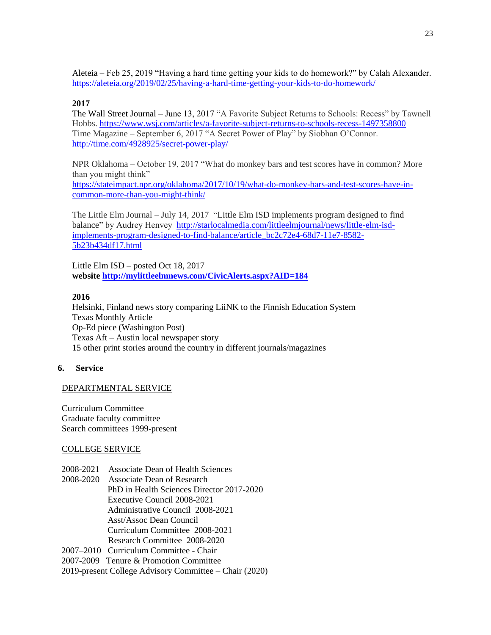Aleteia – Feb 25, 2019 "Having a hard time getting your kids to do homework?" by Calah Alexander. <https://aleteia.org/2019/02/25/having-a-hard-time-getting-your-kids-to-do-homework/>

# **2017**

The Wall Street Journal – June 13, 2017 "A Favorite Subject Returns to Schools: Recess" by Tawnell Hobbs.<https://www.wsj.com/articles/a-favorite-subject-returns-to-schools-recess-1497358800> Time Magazine – September 6, 2017 "A Secret Power of Play" by Siobhan O'Connor. <http://time.com/4928925/secret-power-play/>

NPR Oklahoma – October 19, 2017 "What do monkey bars and test scores have in common? More than you might think"

[https://stateimpact.npr.org/oklahoma/2017/10/19/what-do-monkey-bars-and-test-scores-have-in](https://stateimpact.npr.org/oklahoma/2017/10/19/what-do-monkey-bars-and-test-scores-have-in-common-more-than-you-might-think/)[common-more-than-you-might-think/](https://stateimpact.npr.org/oklahoma/2017/10/19/what-do-monkey-bars-and-test-scores-have-in-common-more-than-you-might-think/)

The Little Elm Journal – July 14, 2017 "Little Elm ISD implements program designed to find balance" by Audrey Henvey [http://starlocalmedia.com/littleelmjournal/news/little-elm-isd](http://starlocalmedia.com/littleelmjournal/news/little-elm-isd-implements-program-designed-to-find-balance/article_bc2c72e4-68d7-11e7-8582-5b23b434df17.html)[implements-program-designed-to-find-balance/article\\_bc2c72e4-68d7-11e7-8582-](http://starlocalmedia.com/littleelmjournal/news/little-elm-isd-implements-program-designed-to-find-balance/article_bc2c72e4-68d7-11e7-8582-5b23b434df17.html) [5b23b434df17.html](http://starlocalmedia.com/littleelmjournal/news/little-elm-isd-implements-program-designed-to-find-balance/article_bc2c72e4-68d7-11e7-8582-5b23b434df17.html)

Little Elm ISD – posted Oct 18, 2017 **website<http://mylittleelmnews.com/CivicAlerts.aspx?AID=184>**

# **2016**

Helsinki, Finland news story comparing LiiNK to the Finnish Education System Texas Monthly Article Op-Ed piece (Washington Post) Texas Aft – Austin local newspaper story 15 other print stories around the country in different journals/magazines

# **6. Service**

# DEPARTMENTAL SERVICE

Curriculum Committee Graduate faculty committee Search committees 1999-present

# COLLEGE SERVICE

2008-2021 Associate Dean of Health Sciences

2008-2020 Associate Dean of Research PhD in Health Sciences Director 2017-2020 Executive Council 2008-2021 Administrative Council 2008-2021 Asst/Assoc Dean Council Curriculum Committee 2008-2021 Research Committee 2008-2020 2007–2010 Curriculum Committee - Chair 2007-2009 Tenure & Promotion Committee

2019-present College Advisory Committee – Chair (2020)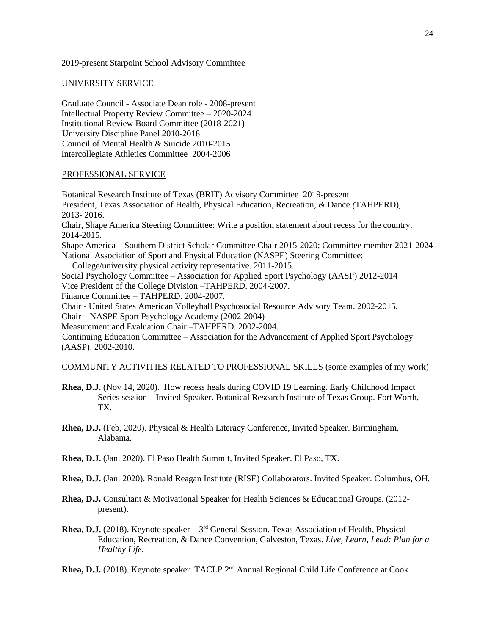#### 2019-present Starpoint School Advisory Committee

#### UNIVERSITY SERVICE

Graduate Council - Associate Dean role - 2008-present Intellectual Property Review Committee – 2020-2024 Institutional Review Board Committee (2018-2021) University Discipline Panel 2010-2018 Council of Mental Health & Suicide 2010-2015 Intercollegiate Athletics Committee 2004-2006

# PROFESSIONAL SERVICE

Botanical Research Institute of Texas (BRIT) Advisory Committee 2019-present President, Texas Association of Health, Physical Education, Recreation, & Dance *(*TAHPERD), 2013- 2016. Chair, Shape America Steering Committee: Write a position statement about recess for the country. 2014-2015. Shape America – Southern District Scholar Committee Chair 2015-2020; Committee member 2021-2024 National Association of Sport and Physical Education (NASPE) Steering Committee: College/university physical activity representative. 2011-2015. Social Psychology Committee – Association for Applied Sport Psychology (AASP) 2012-2014 Vice President of the College Division –TAHPERD. 2004-2007. Finance Committee – TAHPERD. 2004-2007. Chair - United States American Volleyball Psychosocial Resource Advisory Team. 2002-2015. Chair – NASPE Sport Psychology Academy (2002-2004) Measurement and Evaluation Chair –TAHPERD. 2002-2004. Continuing Education Committee – Association for the Advancement of Applied Sport Psychology (AASP). 2002-2010. COMMUNITY ACTIVITIES RELATED TO PROFESSIONAL SKILLS (some examples of my work)

- **Rhea, D.J.** (Nov 14, 2020). How recess heals during COVID 19 Learning. Early Childhood Impact Series session – Invited Speaker. Botanical Research Institute of Texas Group. Fort Worth, TX.
- **Rhea, D.J.** (Feb, 2020). Physical & Health Literacy Conference, Invited Speaker. Birmingham, Alabama.
- **Rhea, D.J.** (Jan. 2020). El Paso Health Summit, Invited Speaker. El Paso, TX.
- **Rhea, D.J.** (Jan. 2020). Ronald Reagan Institute (RISE) Collaborators. Invited Speaker. Columbus, OH.
- **Rhea, D.J.** Consultant & Motivational Speaker for Health Sciences & Educational Groups. (2012 present).
- **Rhea, D.J.** (2018). Keynote speaker  $-3<sup>rd</sup>$  General Session. Texas Association of Health, Physical Education, Recreation, & Dance Convention, Galveston, Texas. *Live, Learn, Lead: Plan for a Healthy Life.*
- **Rhea, D.J.** (2018). Keynote speaker. TACLP 2<sup>nd</sup> Annual Regional Child Life Conference at Cook